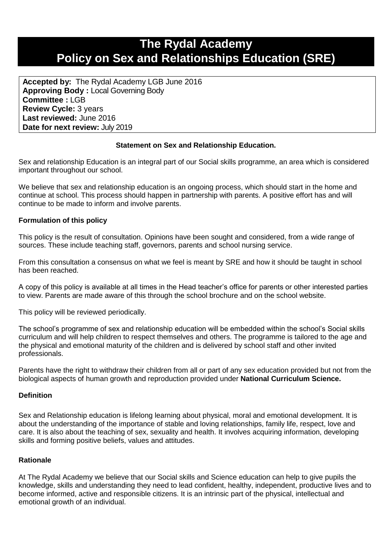# **The Rydal Academy Policy on Sex and Relationships Education (SRE)**

**Accepted by:** The Rydal Academy LGB June 2016 **Approving Body :** Local Governing Body **Committee :** LGB **Review Cycle:** 3 years **Last reviewed:** June 2016 **Date for next review:** July 2019

# **Statement on Sex and Relationship Education.**

Sex and relationship Education is an integral part of our Social skills programme, an area which is considered important throughout our school.

We believe that sex and relationship education is an ongoing process, which should start in the home and continue at school. This process should happen in partnership with parents. A positive effort has and will continue to be made to inform and involve parents.

#### **Formulation of this policy**

This policy is the result of consultation. Opinions have been sought and considered, from a wide range of sources. These include teaching staff, governors, parents and school nursing service.

From this consultation a consensus on what we feel is meant by SRE and how it should be taught in school has been reached.

A copy of this policy is available at all times in the Head teacher's office for parents or other interested parties to view. Parents are made aware of this through the school brochure and on the school website.

This policy will be reviewed periodically.

The school's programme of sex and relationship education will be embedded within the school's Social skills curriculum and will help children to respect themselves and others. The programme is tailored to the age and the physical and emotional maturity of the children and is delivered by school staff and other invited professionals.

Parents have the right to withdraw their children from all or part of any sex education provided but not from the biological aspects of human growth and reproduction provided under **National Curriculum Science.**

#### **Definition**

Sex and Relationship education is lifelong learning about physical, moral and emotional development. It is about the understanding of the importance of stable and loving relationships, family life, respect, love and care. It is also about the teaching of sex, sexuality and health. It involves acquiring information, developing skills and forming positive beliefs, values and attitudes.

#### **Rationale**

At The Rydal Academy we believe that our Social skills and Science education can help to give pupils the knowledge, skills and understanding they need to lead confident, healthy, independent, productive lives and to become informed, active and responsible citizens. It is an intrinsic part of the physical, intellectual and emotional growth of an individual.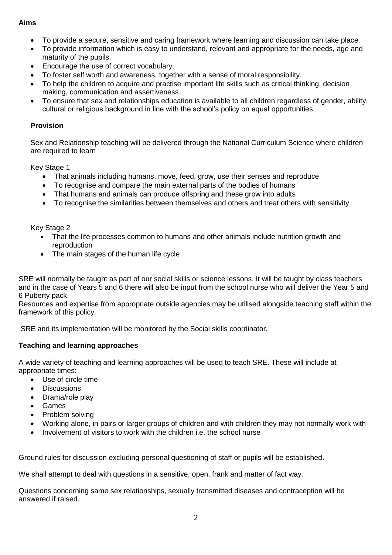# **Aims**

- To provide a secure, sensitive and caring framework where learning and discussion can take place.
- To provide information which is easy to understand, relevant and appropriate for the needs, age and maturity of the pupils.
- Encourage the use of correct vocabulary.
- To foster self worth and awareness, together with a sense of moral responsibility.
- To help the children to acquire and practise important life skills such as critical thinking, decision making, communication and assertiveness.
- To ensure that sex and relationships education is available to all children regardless of gender, ability, cultural or religious background in line with the school's policy on equal opportunities.

# **Provision**

Sex and Relationship teaching will be delivered through the National Curriculum Science where children are required to learn

Key Stage 1

- That animals including humans, move, feed, grow, use their senses and reproduce
- To recognise and compare the main external parts of the bodies of humans
- That humans and animals can produce offspring and these grow into adults
- To recognise the similarities between themselves and others and treat others with sensitivity

# Key Stage 2

- That the life processes common to humans and other animals include nutrition growth and reproduction
- The main stages of the human life cycle

SRE will normally be taught as part of our social skills or science lessons. It will be taught by class teachers and in the case of Years 5 and 6 there will also be input from the school nurse who will deliver the Year 5 and 6 Puberty pack.

Resources and expertise from appropriate outside agencies may be utilised alongside teaching staff within the framework of this policy.

SRE and its implementation will be monitored by the Social skills coordinator.

# **Teaching and learning approaches**

A wide variety of teaching and learning approaches will be used to teach SRE. These will include at appropriate times:

- Use of circle time
- **Discussions**
- Drama/role play
- Games
- Problem solving
- Working alone, in pairs or larger groups of children and with children they may not normally work with
- Involvement of visitors to work with the children i.e. the school nurse

Ground rules for discussion excluding personal questioning of staff or pupils will be established.

We shall attempt to deal with questions in a sensitive, open, frank and matter of fact way.

Questions concerning same sex relationships, sexually transmitted diseases and contraception will be answered if raised.